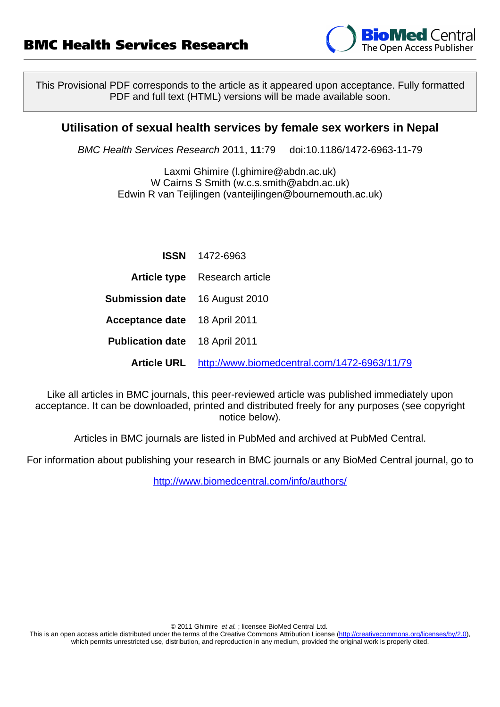

This Provisional PDF corresponds to the article as it appeared upon acceptance. Fully formatted PDF and full text (HTML) versions will be made available soon.

### **Utilisation of sexual health services by female sex workers in Nepal**

BMC Health Services Research 2011, **11**:79 doi:10.1186/1472-6963-11-79

Laxmi Ghimire ([l.ghimire@abdn.ac.uk](mailto:l.ghimire@abdn.ac.uk)) W Cairns S Smith ([w.c.s.smith@abdn.ac.uk\)](mailto:w.c.s.smith@abdn.ac.uk) Edwin R van Teijlingen ([vanteijlingen@bournemouth.ac.uk](mailto:vanteijlingen@bournemouth.ac.uk))

|                                       | <b>ISSN</b> 1472-6963                                    |
|---------------------------------------|----------------------------------------------------------|
|                                       | <b>Article type</b> Research article                     |
| <b>Submission date</b> 16 August 2010 |                                                          |
| <b>Acceptance date</b> 18 April 2011  |                                                          |
| <b>Publication date</b> 18 April 2011 |                                                          |
|                                       | Article URL http://www.biomedcentral.com/1472-6963/11/79 |

Like all articles in BMC journals, this peer-reviewed article was published immediately upon acceptance. It can be downloaded, printed and distributed freely for any purposes (see copyright notice below).

Articles in BMC journals are listed in PubMed and archived at PubMed Central.

For information about publishing your research in BMC journals or any BioMed Central journal, go to

<http://www.biomedcentral.com/info/authors/>

© 2011 Ghimire et al. ; licensee BioMed Central Ltd.

This is an open access article distributed under the terms of the Creative Commons Attribution License [\(http://creativecommons.org/licenses/by/2.0](http://creativecommons.org/licenses/by/2.0)), which permits unrestricted use, distribution, and reproduction in any medium, provided the original work is properly cited.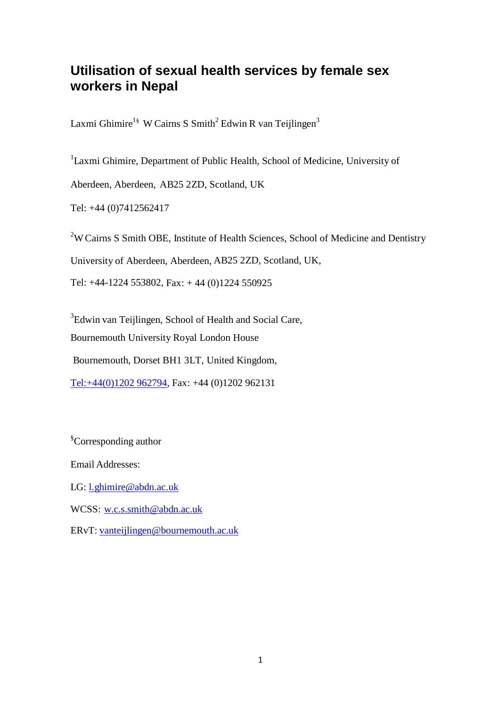# **Utilisation of sexual health services by female sex workers in Nepal**

Laxmi Ghimire<sup>1§</sup> W Cairns S Smith<sup>2</sup> Edwin R van Teijlingen<sup>3</sup>

<sup>1</sup>Laxmi Ghimire, Department of Public Health, School of Medicine, University of

Aberdeen, Aberdeen, AB25 2ZD, Scotland, UK

Tel: +44 (0)7412562417

<sup>2</sup>W Cairns S Smith OBE, Institute of Health Sciences, School of Medicine and Dentistry

University of Aberdeen, Aberdeen, AB25 2ZD, Scotland, UK,

Tel: +44-1224 553802, Fax: + 44 (0)1224 550925

<sup>3</sup>Edwin van Teijlingen, School of Health and Social Care, Bournemouth University Royal London House

Bournemouth, Dorset BH1 3LT, United Kingdom,

Tel:+44(0)1202 962794, Fax: +44 (0)1202 962131

<sup>§</sup>Corresponding author

Email Addresses:

LG: [l.ghimire@abdn.ac.uk](mailto:l.ghimire@abdn.ac.uk)

WCSS: [w.c.s.smith@abdn.ac.uk](mailto:w.c.s.smith@abdn.ac.uk)

ERvT: [vanteijlingen@bournemouth.ac.uk](mailto:vanteijlingen@bournemouth.ac.uk)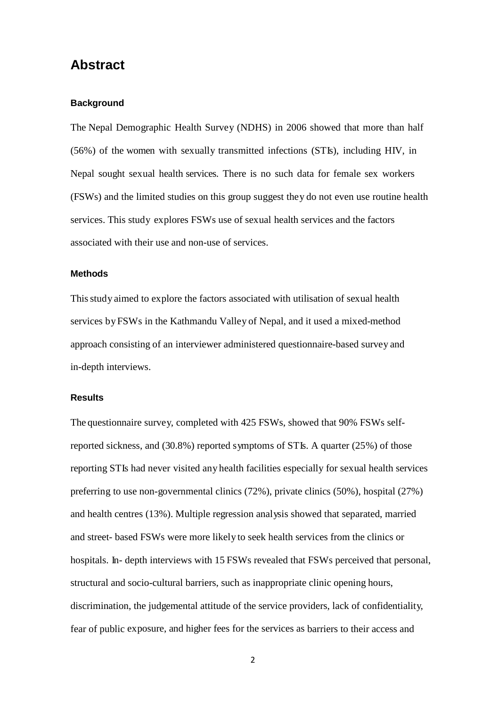# **Abstract**

#### **Background**

The Nepal Demographic Health Survey (NDHS) in 2006 showed that more than half (56%) of the women with sexually transmitted infections (STIs), including HIV, in Nepal sought sexual health services. There is no such data for female sex workers (FSWs) and the limited studies on this group suggest they do not even use routine health services. This study explores FSWs use of sexual health services and the factors associated with their use and non-use of services.

#### **Methods**

Thisstudy aimed to explore the factors associated with utilisation of sexual health services byFSWs in the Kathmandu Valley of Nepal, and it used a mixed-method approach consisting of an interviewer administered questionnaire-based survey and in-depth interviews.

### **Results**

The questionnaire survey, completed with 425 FSWs, showed that 90% FSWs selfreported sickness, and (30.8%) reported symptoms of STIs. A quarter (25%) of those reporting STIs had never visited any health facilities especially for sexual health services preferring to use non-governmental clinics (72%), private clinics (50%), hospital (27%) and health centres (13%). Multiple regression analysis showed that separated, married and street- based FSWs were more likely to seek health services from the clinics or hospitals. In- depth interviews with 15 FSWs revealed that FSWs perceived that personal, structural and socio-cultural barriers, such as inappropriate clinic opening hours, discrimination, the judgemental attitude of the service providers, lack of confidentiality, fear of public exposure, and higher fees for the services as barriers to their access and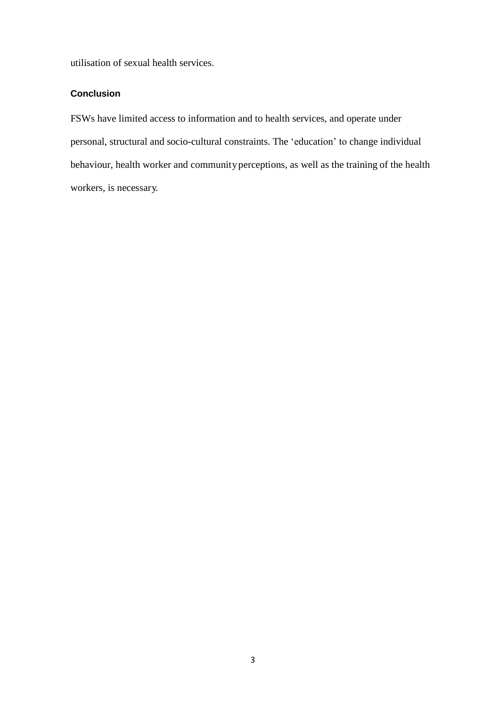utilisation of sexual health services.

### **Conclusion**

FSWs have limited access to information and to health services, and operate under personal, structural and socio-cultural constraints. The 'education' to change individual behaviour, health worker and community perceptions, as well as the training of the health workers, is necessary.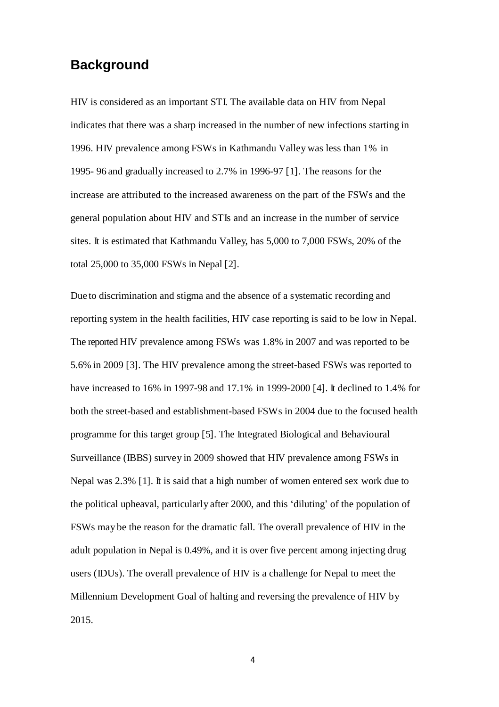# **Background**

HIV is considered as an important STI. The available data on HIV from Nepal indicates that there was a sharp increased in the number of new infections starting in 1996. HIV prevalence among FSWs in Kathmandu Valley was less than 1% in 1995- 96 and gradually increased to 2.7% in 1996-97 [1]. The reasons for the increase are attributed to the increased awareness on the part of the FSWs and the general population about HIV and STIs and an increase in the number of service sites. It is estimated that Kathmandu Valley, has 5,000 to 7,000 FSWs, 20% of the total 25,000 to 35,000 FSWs in Nepal [2].

Due to discrimination and stigma and the absence of a systematic recording and reporting system in the health facilities, HIV case reporting is said to be low in Nepal. The reported HIV prevalence among FSWs was 1.8% in 2007 and was reported to be 5.6% in 2009 [3]. The HIV prevalence among the street-based FSWs was reported to have increased to 16% in 1997-98 and 17.1% in 1999-2000 [4]. It declined to 1.4% for both the street-based and establishment-based FSWs in 2004 due to the focused health programme for this target group [5]. The Integrated Biological and Behavioural Surveillance (IBBS) survey in 2009 showed that HIV prevalence among FSWs in Nepal was 2.3% [1]. It is said that a high number of women entered sex work due to the political upheaval, particularly after 2000, and this 'diluting' of the population of FSWs may be the reason for the dramatic fall. The overall prevalence of HIV in the adult population in Nepal is 0.49%, and it is over five percent among injecting drug users (IDUs). The overall prevalence of HIV is a challenge for Nepal to meet the Millennium Development Goal of halting and reversing the prevalence of HIV by 2015.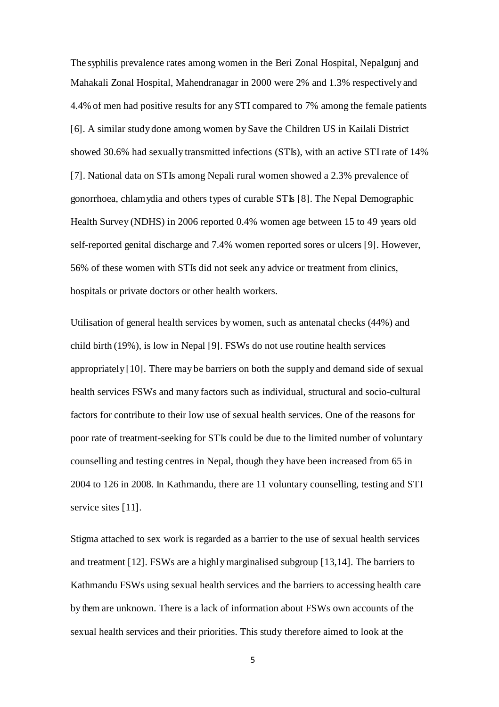The syphilis prevalence rates among women in the Beri Zonal Hospital, Nepalgunj and Mahakali Zonal Hospital, Mahendranagar in 2000 were 2% and 1.3% respectively and 4.4% of men had positive results for any STI compared to 7% among the female patients [6]. A similar studydone among women by Save the Children US in Kailali District showed 30.6% had sexually transmitted infections (STIs), with an active STI rate of 14% [7]. National data on STIs among Nepali rural women showed a 2.3% prevalence of gonorrhoea, chlamydia and others types of curable STIs [8]. The Nepal Demographic Health Survey (NDHS) in 2006 reported 0.4% women age between 15 to 49 years old self-reported genital discharge and 7.4% women reported sores or ulcers [9]. However, 56% of these women with STIs did not seek any advice or treatment from clinics, hospitals or private doctors or other health workers.

Utilisation of general health services bywomen, such as antenatal checks (44%) and child birth (19%), is low in Nepal [9]. FSWs do not use routine health services appropriately [10]. There may be barriers on both the supply and demand side of sexual health services FSWs and many factors such as individual, structural and socio-cultural factors for contribute to their low use of sexual health services. One of the reasons for poor rate of treatment-seeking for STIs could be due to the limited number of voluntary counselling and testing centres in Nepal, though they have been increased from 65 in 2004 to 126 in 2008. In Kathmandu, there are 11 voluntary counselling, testing and STI service sites [11].

Stigma attached to sex work is regarded as a barrier to the use of sexual health services and treatment [12]. FSWs are a highlymarginalised subgroup [13,14]. The barriers to Kathmandu FSWs using sexual health services and the barriers to accessing health care by them are unknown. There is a lack of information about FSWs own accounts of the sexual health services and their priorities. This study therefore aimed to look at the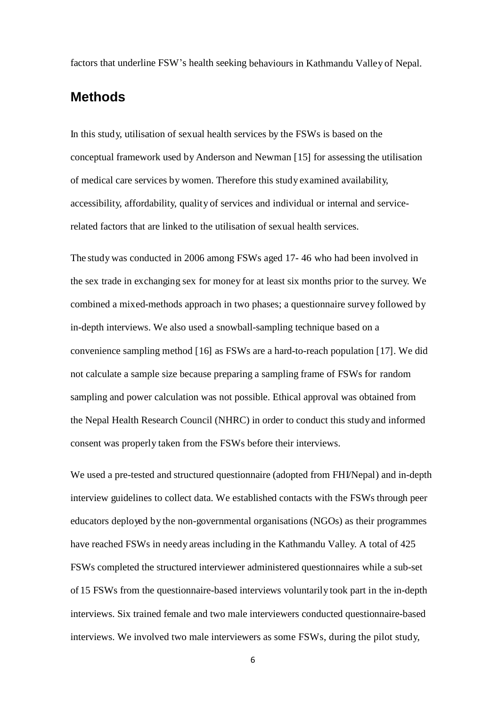factors that underline FSW's health seeking behaviours in Kathmandu Valley of Nepal.

# **Methods**

In this study, utilisation of sexual health services by the FSWs is based on the conceptual framework used by Anderson and Newman [15] for assessing the utilisation of medical care services by women. Therefore this study examined availability, accessibility, affordability, quality of services and individual or internal and servicerelated factors that are linked to the utilisation of sexual health services.

The study was conducted in 2006 among FSWs aged 17- 46 who had been involved in the sex trade in exchanging sex for money for at least six months prior to the survey. We combined a mixed-methods approach in two phases; a questionnaire survey followed by in-depth interviews. We also used a snowball-sampling technique based on a convenience sampling method [16] as FSWs are a hard-to-reach population [17]. We did not calculate a sample size because preparing a sampling frame of FSWs for random sampling and power calculation was not possible. Ethical approval was obtained from the Nepal Health Research Council (NHRC) in order to conduct this study and informed consent was properly taken from the FSWs before their interviews.

We used a pre-tested and structured questionnaire (adopted from FHI/Nepal) and in-depth interview guidelines to collect data. We established contacts with the FSWs through peer educators deployed by the non-governmental organisations (NGOs) as their programmes have reached FSWs in needy areas including in the Kathmandu Valley. A total of 425 FSWs completed the structured interviewer administered questionnaires while a sub-set of 15 FSWs from the questionnaire-based interviews voluntarily took part in the in-depth interviews. Six trained female and two male interviewers conducted questionnaire-based interviews. We involved two male interviewers as some FSWs, during the pilot study,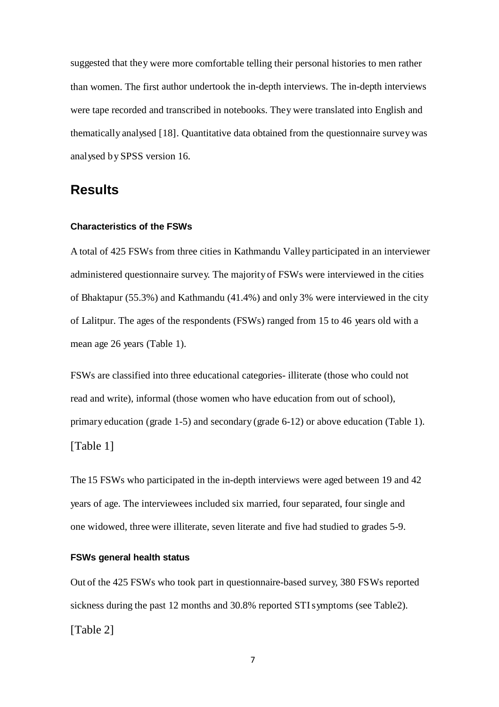suggested that they were more comfortable telling their personal histories to men rather than women. The first author undertook the in-depth interviews. The in-depth interviews were tape recorded and transcribed in notebooks. They were translated into English and thematically analysed [18]. Quantitative data obtained from the questionnaire survey was analysed by SPSS version 16.

### **Results**

#### **Characteristics of the FSWs**

A total of 425 FSWs from three cities in Kathmandu Valley participated in an interviewer administered questionnaire survey. The majority of FSWs were interviewed in the cities of Bhaktapur (55.3%) and Kathmandu (41.4%) and only 3% were interviewed in the city of Lalitpur. The ages of the respondents (FSWs) ranged from 15 to 46 years old with a mean age 26 years (Table 1).

FSWs are classified into three educational categories- illiterate (those who could not read and write), informal (those women who have education from out of school), primary education (grade 1-5) and secondary (grade 6-12) or above education (Table 1). [Table 1]

The 15 FSWs who participated in the in-depth interviews were aged between 19 and 42 years of age. The interviewees included six married, four separated, four single and one widowed, three were illiterate, seven literate and five had studied to grades 5-9.

#### **FSWs general health status**

Out of the 425 FSWs who took part in questionnaire-based survey, 380 FSWs reported sickness during the past 12 months and 30.8% reported STIsymptoms (see Table2). [Table 2]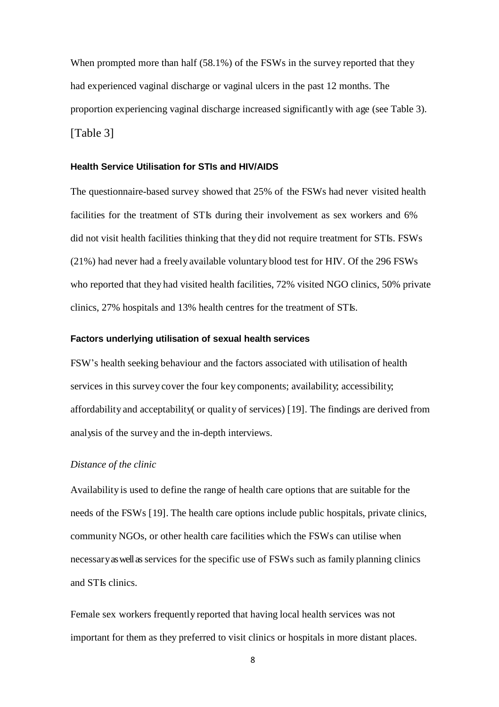When prompted more than half (58.1%) of the FSWs in the survey reported that they had experienced vaginal discharge or vaginal ulcers in the past 12 months. The proportion experiencing vaginal discharge increased significantly with age (see Table 3). [Table 3]

#### **Health Service Utilisation for STIs and HIV/AIDS**

The questionnaire-based survey showed that 25% of the FSWs had never visited health facilities for the treatment of STIs during their involvement as sex workers and 6% did not visit health facilities thinking that they did not require treatment for STIs. FSWs (21%) had never had a freely available voluntary blood test for HIV. Of the 296 FSWs who reported that they had visited health facilities, 72% visited NGO clinics, 50% private clinics, 27% hospitals and 13% health centres for the treatment of STIs.

#### **Factors underlying utilisation of sexual health services**

FSW's health seeking behaviour and the factors associated with utilisation of health services in this survey cover the four key components; availability; accessibility; affordability and acceptability( or quality of services) [19]. The findings are derived from analysis of the survey and the in-depth interviews.

#### *Distance of the clinic*

Availability is used to define the range of health care options that are suitable for the needs of the FSWs [19]. The health care options include public hospitals, private clinics, community NGOs, or other health care facilities which the FSWs can utilise when necessary as well as services for the specific use of FSWs such as family planning clinics and STIs clinics.

Female sex workers frequently reported that having local health services was not important for them as they preferred to visit clinics or hospitals in more distant places.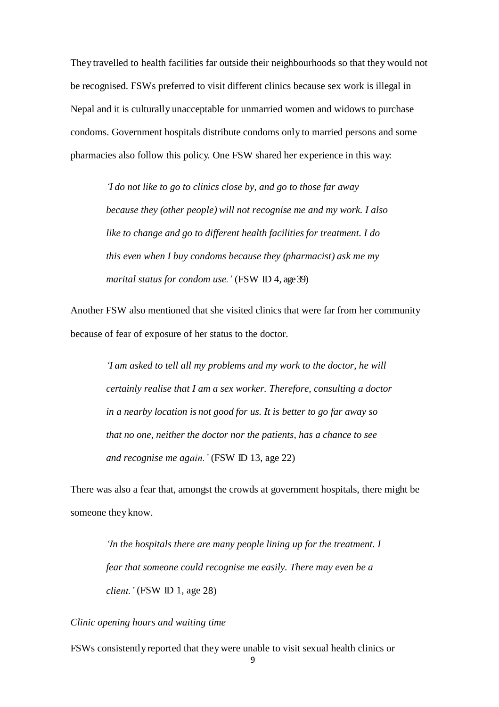They travelled to health facilities far outside their neighbourhoods so that they would not be recognised. FSWs preferred to visit different clinics because sex work is illegal in Nepal and it is culturally unacceptable for unmarried women and widows to purchase condoms. Government hospitals distribute condoms only to married persons and some pharmacies also follow this policy. One FSW shared her experience in this way:

*'I do not like to go to clinics close by, and go to those far away because they (other people) will not recognise me and my work. I also like to change and go to different health facilities for treatment. I do this even when I buy condoms because they (pharmacist) ask me my marital status for condom use.'* (FSW ID 4, age 39)

Another FSW also mentioned that she visited clinics that were far from her community because of fear of exposure of her status to the doctor.

> *'I am asked to tell all my problems and my work to the doctor, he will certainly realise that I am a sex worker. Therefore, consulting a doctor in a nearby location is not good for us. It is better to go far away so that no one, neither the doctor nor the patients, has a chance to see and recognise me again.'* (FSW ID 13, age 22)

There was also a fear that, amongst the crowds at government hospitals, there might be someone they know.

*'In the hospitals there are many people lining up for the treatment. I fear that someone could recognise me easily. There may even be a client.'* (FSW ID 1, age 28)

*Clinic opening hours and waiting time*

FSWs consistently reported that they were unable to visit sexual health clinics or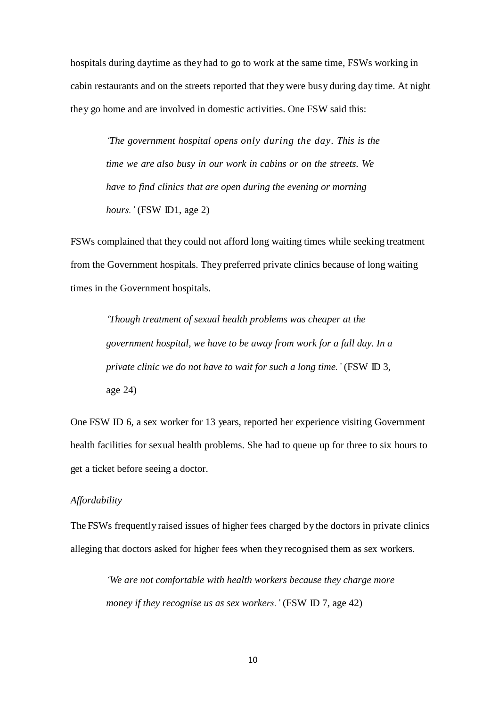hospitals during daytime as they had to go to work at the same time, FSWs working in cabin restaurants and on the streets reported that they were busy during day time. At night they go home and are involved in domestic activities. One FSW said this:

*'The government hospital opens only during the day. This is the time we are also busy in our work in cabins or on the streets. We have to find clinics that are open during the evening or morning hours.'* (FSW ID1, age 2)

FSWs complained that they could not afford long waiting times while seeking treatment from the Government hospitals. They preferred private clinics because of long waiting times in the Government hospitals.

*'Though treatment of sexual health problems was cheaper at the government hospital, we have to be away from work for a full day. In a private clinic we do not have to wait for such a long time.'* (FSW ID 3, age 24)

One FSW ID 6, a sex worker for 13 years, reported her experience visiting Government health facilities for sexual health problems. She had to queue up for three to six hours to get a ticket before seeing a doctor.

### *Affordability*

The FSWs frequently raised issues of higher fees charged by the doctors in private clinics alleging that doctors asked for higher fees when they recognised them as sex workers.

*'We are not comfortable with health workers because they charge more money if they recognise us as sex workers.'* (FSW ID 7, age 42)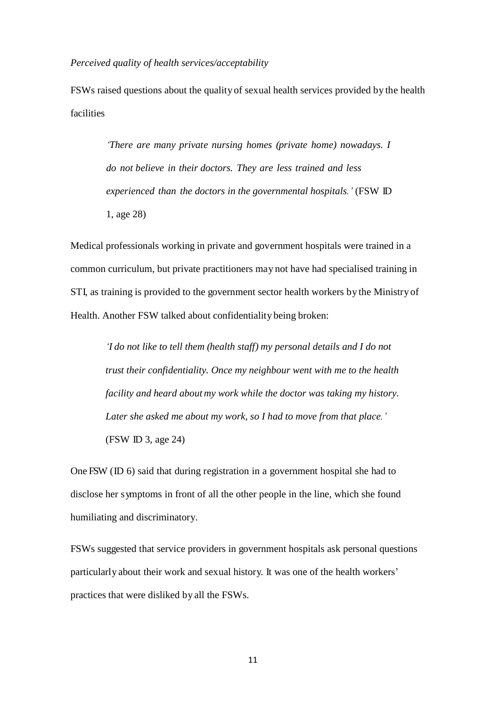*Perceived quality of health services/acceptability*

FSWs raised questions about the quality of sexual health services provided by the health facilities

*'There are many private nursing homes (private home) nowadays. I do not believe in their doctors. They are less trained and less experienced than the doctors in the governmental hospitals.'* (FSW ID 1, age 28)

Medical professionals working in private and government hospitals were trained in a common curriculum, but private practitioners may not have had specialised training in STI, as training is provided to the government sector health workers by the Ministry of Health. Another FSW talked about confidentiality being broken:

*'I do not like to tell them (health staff) my personal details and I do not trust their confidentiality. Once my neighbour went with me to the health facility and heard about my work while the doctor was taking my history. Later she asked me about my work, so I had to move from that place.'* (FSW ID 3, age 24)

One FSW (ID 6) said that during registration in a government hospital she had to disclose her symptoms in front of all the other people in the line, which she found humiliating and discriminatory.

FSWs suggested that service providers in government hospitals ask personal questions particularly about their work and sexual history. It was one of the health workers' practices that were disliked by all the FSWs.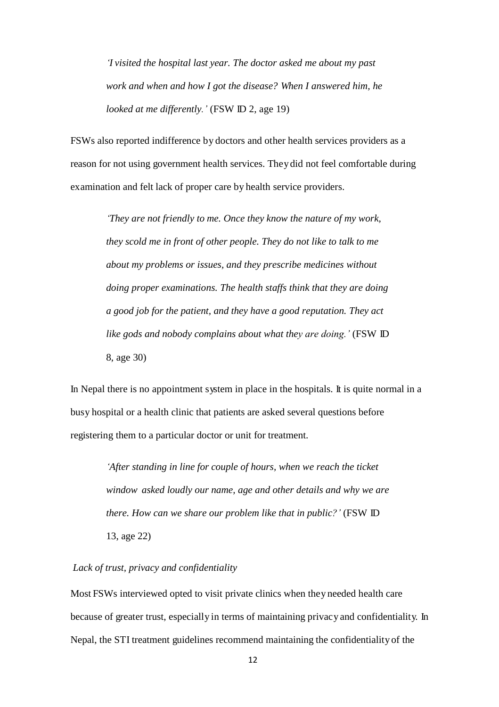*'I visited the hospital last year. The doctor asked me about my past work and when and how I got the disease? When I answered him, he looked at me differently.'* (FSW ID 2, age 19)

FSWs also reported indifference by doctors and other health services providers as a reason for not using government health services. They did not feel comfortable during examination and felt lack of proper care by health service providers.

> *'They are not friendly to me. Once they know the nature of my work, they scold me in front of other people. They do not like to talk to me about my problems or issues, and they prescribe medicines without doing proper examinations. The health staffs think that they are doing a good job for the patient, and they have a good reputation. They act like gods and nobody complains about what they are doing.'* (FSW ID 8, age 30)

In Nepal there is no appointment system in place in the hospitals. It is quite normal in a busy hospital or a health clinic that patients are asked several questions before registering them to a particular doctor or unit for treatment.

> *'After standing in line for couple of hours, when we reach the ticket window asked loudly our name, age and other details and why we are there. How can we share our problem like that in public?'* (FSW ID 13, age 22)

### *Lack of trust, privacy and confidentiality*

Most FSWs interviewed opted to visit private clinics when they needed health care because of greater trust, especially in terms of maintaining privacy and confidentiality. In Nepal, the STI treatment guidelines recommend maintaining the confidentiality of the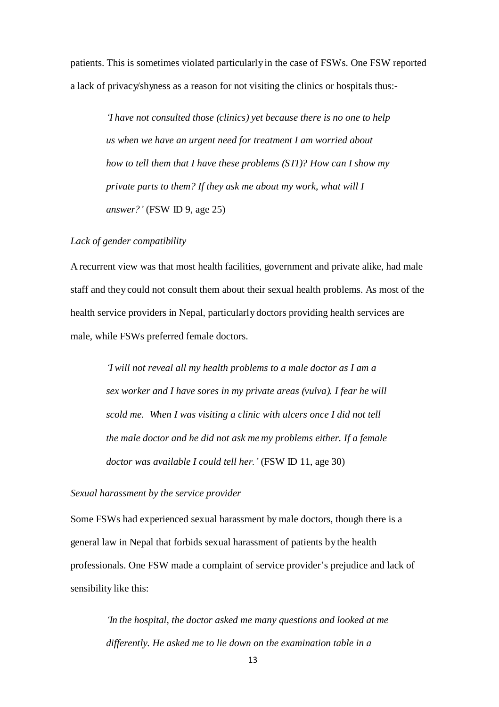patients. This is sometimes violated particularlyin the case of FSWs. One FSW reported a lack of privacy/shyness as a reason for not visiting the clinics or hospitals thus:-

*'I have not consulted those (clinics) yet because there is no one to help us when we have an urgent need for treatment I am worried about how to tell them that I have these problems (STI)? How can I show my private parts to them? If they ask me about my work, what will I answer?'* (FSW ID 9, age 25)

#### *Lack of gender compatibility*

A recurrent view was that most health facilities, government and private alike, had male staff and they could not consult them about their sexual health problems. As most of the health service providers in Nepal, particularly doctors providing health services are male, while FSWs preferred female doctors.

> *'I will not reveal all my health problems to a male doctor as I am a sex worker and I have sores in my private areas (vulva). I fear he will scold me. When I was visiting a clinic with ulcers once I did not tell the male doctor and he did not ask me my problems either. If a female doctor was available I could tell her.'* (FSW ID 11, age 30)

#### *Sexual harassment by the service provider*

Some FSWs had experienced sexual harassment by male doctors, though there is a general law in Nepal that forbids sexual harassment of patients by the health professionals. One FSW made a complaint of service provider's prejudice and lack of sensibility like this:

*'In the hospital, the doctor asked me many questions and looked at me differently. He asked me to lie down on the examination table in a*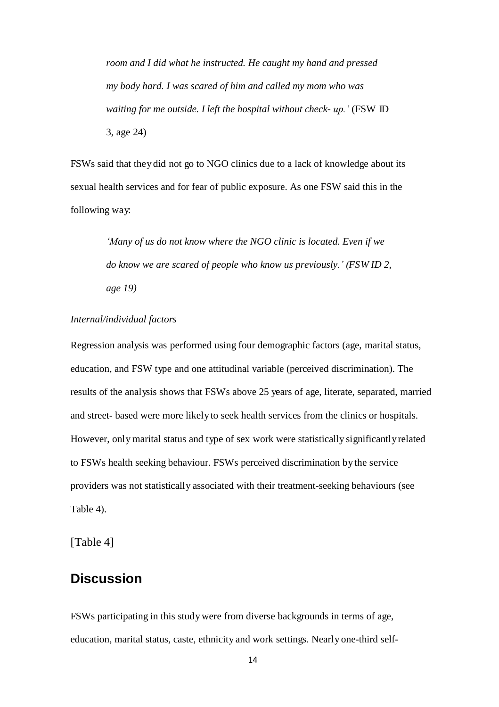*room and I did what he instructed. He caught my hand and pressed my body hard. I was scared of him and called my mom who was waiting for me outside. I left the hospital without check- up.'* (FSW ID 3, age 24)

FSWs said that they did not go to NGO clinics due to a lack of knowledge about its sexual health services and for fear of public exposure. As one FSW said this in the following way:

> *'Many of us do not know where the NGO clinic is located. Even if we do know we are scared of people who know us previously.' (FSW ID 2, age 19)*

### *Internal/individual factors*

Regression analysis was performed using four demographic factors (age, marital status, education, and FSW type and one attitudinal variable (perceived discrimination). The results of the analysis shows that FSWs above 25 years of age, literate, separated, married and street- based were more likely to seek health services from the clinics or hospitals. However, only marital status and type of sex work were statistically significantlyrelated to FSWs health seeking behaviour. FSWs perceived discrimination by the service providers was not statistically associated with their treatment-seeking behaviours (see Table 4).

[Table 4]

# **Discussion**

FSWs participating in this study were from diverse backgrounds in terms of age, education, marital status, caste, ethnicity and work settings. Nearly one-third self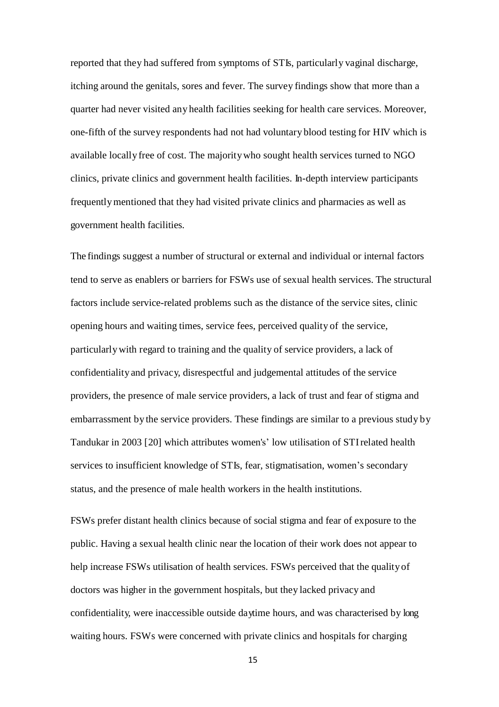reported that they had suffered from symptoms of STIs, particularly vaginal discharge, itching around the genitals, sores and fever. The survey findings show that more than a quarter had never visited any health facilities seeking for health care services. Moreover, one-fifth of the survey respondents had not had voluntary blood testing for HIV which is available locally free of cost. The majoritywho sought health services turned to NGO clinics, private clinics and government health facilities. In-depth interview participants frequentlymentioned that they had visited private clinics and pharmacies as well as government health facilities.

The findings suggest a number of structural or external and individual or internal factors tend to serve as enablers or barriers for FSWs use of sexual health services. The structural factors include service-related problems such as the distance of the service sites, clinic opening hours and waiting times, service fees, perceived quality of the service, particularlywith regard to training and the quality of service providers, a lack of confidentiality and privacy, disrespectful and judgemental attitudes of the service providers, the presence of male service providers, a lack of trust and fear of stigma and embarrassment by the service providers. These findings are similar to a previous study by Tandukar in 2003 [20] which attributes women's' low utilisation of STIrelated health services to insufficient knowledge of STIs, fear, stigmatisation, women's secondary status, and the presence of male health workers in the health institutions.

FSWs prefer distant health clinics because of social stigma and fear of exposure to the public. Having a sexual health clinic near the location of their work does not appear to help increase FSWs utilisation of health services. FSWs perceived that the quality of doctors was higher in the government hospitals, but they lacked privacy and confidentiality, were inaccessible outside daytime hours, and was characterised by long waiting hours. FSWs were concerned with private clinics and hospitals for charging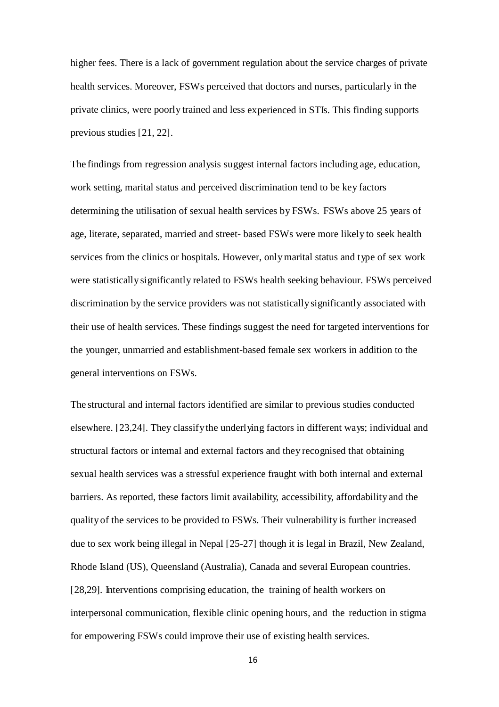higher fees. There is a lack of government regulation about the service charges of private health services. Moreover, FSWs perceived that doctors and nurses, particularly in the private clinics, were poorly trained and less experienced in STIs. This finding supports previous studies [21, 22].

The findings from regression analysis suggest internal factors including age, education, work setting, marital status and perceived discrimination tend to be key factors determining the utilisation of sexual health services by FSWs. FSWs above 25 years of age, literate, separated, married and street- based FSWs were more likely to seek health services from the clinics or hospitals. However, onlymarital status and type of sex work were statistically significantly related to FSWs health seeking behaviour. FSWs perceived discrimination by the service providers was not statisticallysignificantly associated with their use of health services. These findings suggest the need for targeted interventions for the younger, unmarried and establishment-based female sex workers in addition to the general interventions on FSWs.

The structural and internal factors identified are similar to previous studies conducted elsewhere. [23,24]. They classifythe underlying factors in different ways; individual and structural factors or internal and external factors and they recognised that obtaining sexual health services was a stressful experience fraught with both internal and external barriers. As reported, these factors limit availability, accessibility, affordability and the qualityof the services to be provided to FSWs. Their vulnerability is further increased due to sex work being illegal in Nepal [25-27] though it is legal in Brazil, New Zealand, Rhode Island (US), Queensland (Australia), Canada and several European countries. [28,29]. Interventions comprising education, the training of health workers on interpersonal communication, flexible clinic opening hours, and the reduction in stigma for empowering FSWs could improve their use of existing health services.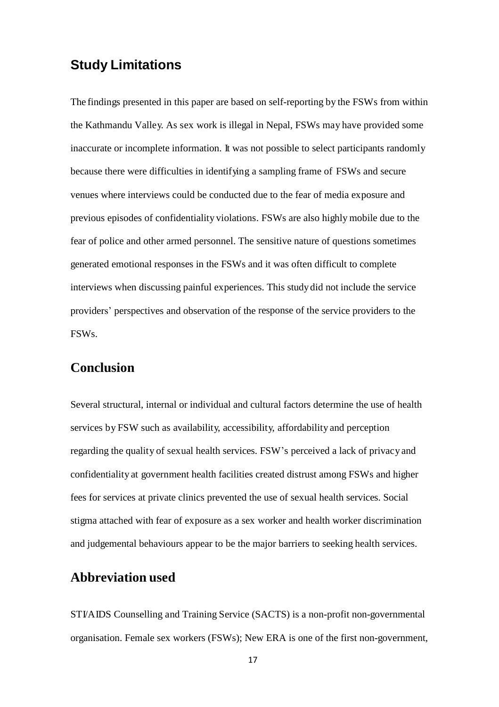# **Study Limitations**

The findings presented in this paper are based on self-reporting by the FSWs from within the Kathmandu Valley. As sex work is illegal in Nepal, FSWs may have provided some inaccurate or incomplete information. It was not possible to select participants randomly because there were difficulties in identifying a sampling frame of FSWs and secure venues where interviews could be conducted due to the fear of media exposure and previous episodes of confidentiality violations. FSWs are also highly mobile due to the fear of police and other armed personnel. The sensitive nature of questions sometimes generated emotional responses in the FSWs and it was often difficult to complete interviews when discussing painful experiences. This study did not include the service providers' perspectives and observation of the response of the service providers to the FSWs.

## **Conclusion**

Several structural, internal or individual and cultural factors determine the use of health services by FSW such as availability, accessibility, affordability and perception regarding the quality of sexual health services. FSW's perceived a lack of privacy and confidentiality at government health facilities created distrust among FSWs and higher fees for services at private clinics prevented the use of sexual health services. Social stigma attached with fear of exposure as a sex worker and health worker discrimination and judgemental behaviours appear to be the major barriers to seeking health services.

## **Abbreviation used**

STI/AIDS Counselling and Training Service (SACTS) is a non-profit non-governmental organisation. Female sex workers (FSWs); New ERA is one of the first non-government,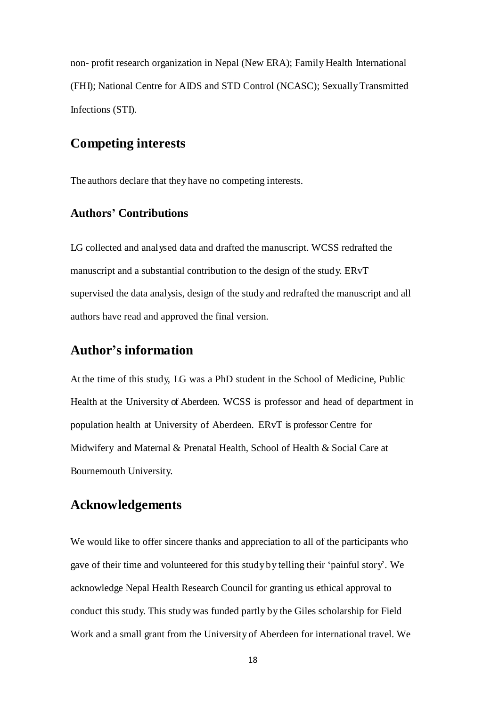non- profit research organization in Nepal (New ERA); Family Health International (FHI); National Centre for AIDS and STD Control (NCASC); SexuallyTransmitted Infections (STI).

# **Competing interests**

The authors declare that they have no competing interests.

### **Authors' Contributions**

LG collected and analysed data and drafted the manuscript. WCSS redrafted the manuscript and a substantial contribution to the design of the study. ERvT supervised the data analysis, design of the study and redrafted the manuscript and all authors have read and approved the final version.

## **Author's information**

At the time of this study, LG was a PhD student in the School of Medicine, Public Health at the University of Aberdeen. WCSS is professor and head of department in population health at University of Aberdeen. ERvT is professor Centre for Midwifery and Maternal & Prenatal Health, School of Health & Social Care at Bournemouth University.

## **Acknowledgements**

We would like to offer sincere thanks and appreciation to all of the participants who gave of their time and volunteered for this study by telling their 'painful story'. We acknowledge Nepal Health Research Council for granting us ethical approval to conduct this study. This study was funded partly by the Giles scholarship for Field Work and a small grant from the University of Aberdeen for international travel. We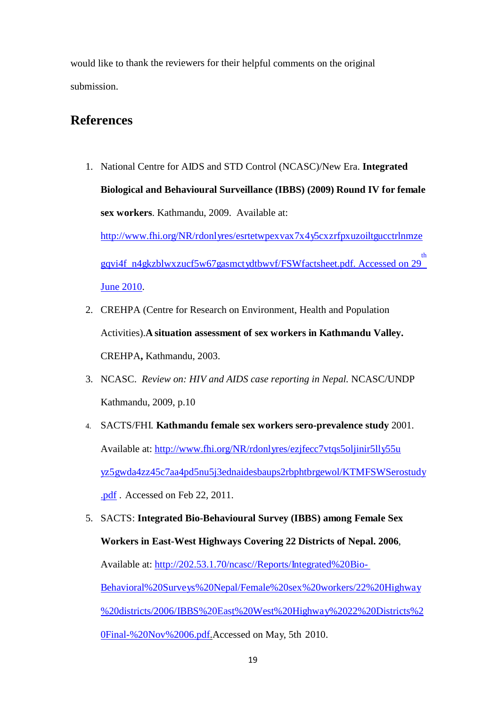would like to thank the reviewers for their helpful comments on the original submission.

# **References**

- 1. National Centre for AIDS and STD Control (NCASC)/New Era. **Integrated Biological and Behavioural Surveillance (IBBS) (2009) Round IV for female sex workers**. Kathmandu, 2009. Available at: [http://www.fhi.org/NR/rdonlyres/esrtetwpexvax7x4y5cxzrfpxuzoiltgucctrlnmze](http://www.fhi.org/NR/rdonlyres/esrtetwpexvax7x4y5cxzrfpxuzoiltgucctrlnmzegqvi4f%20n4gkzblwxzucf5w67gasmctydtbwvf/FSWfactsheet.pdf) <sup>th</sup><br>[gqvi4f n4gkzblwxzucf5w67gasmctydtbwvf/FSWfactsheet.pdf. Ac](http://www.fhi.org/NR/rdonlyres/esrtetwpexvax7x4y5cxzrfpxuzoiltgucctrlnmzegqvi4f%20n4gkzblwxzucf5w67gasmctydtbwvf/FSWfactsheet.pdf)cessed on 29 June 2010.
- 2. CREHPA (Centre for Research on Environment, Health and Population Activities).**A situation assessment of sex workers in Kathmandu Valley.**  CREHPA**,** Kathmandu, 2003.
- 3. NCASC. *Review on: HIV and AIDS case reporting in Nepal.* NCASC/UNDP Kathmandu, 2009, p.10
- 4. SACTS/FHI. **Kathmandu female sex workers sero-prevalence study** 2001. Available at: [http://www.fhi.org/NR/rdonlyres/ezjfecc7vtqs5oljinir5lly55u](http://www.fhi.org/NR/rdonlyres/ezjfecc7vtqs5oljinir5lly55uyz5gwda4zz45c7aa4pd5nu5j3ednaidesbaups2rbphtbrgewol/KTMFSWSerostudy.pdf) [yz5gwda4zz45c7aa4pd5nu5j3ednaidesbaups2rbphtbrgewol/KTMFSWSerostudy](http://www.fhi.org/NR/rdonlyres/ezjfecc7vtqs5oljinir5lly55uyz5gwda4zz45c7aa4pd5nu5j3ednaidesbaups2rbphtbrgewol/KTMFSWSerostudy.pdf) [.pdf](http://www.fhi.org/NR/rdonlyres/ezjfecc7vtqs5oljinir5lly55uyz5gwda4zz45c7aa4pd5nu5j3ednaidesbaups2rbphtbrgewol/KTMFSWSerostudy.pdf) . Accessed on Feb 22, 2011.
- 5. SACTS: **Integrated Bio-Behavioural Survey (IBBS) among Female Sex Workers in East-West Highways Covering 22 Districts of Nepal. 2006**, Available at: [http://202.53.1.70/ncasc//Reports/Integrated%20Bio-](http://202.53.1.70/ncasc/Reports/Integrated%20Bio-Behavioral%20Surveys-%20Nepal/Female%20sex%20workers/22%20Highway%20districts/2006/IBBS%20East%20West%20Highway%2022%20Districts%20Final-%20Nov%2006.pdf)Behavioral%20Survey[s%20Nepal/Female%20sex%20workers/22%20Highway](http://202.53.1.70/ncasc/Reports/Integrated%20Bio-Behavioral%20Surveys-%20Nepal/Female%20sex%20workers/22%20Highway%20districts/2006/IBBS%20East%20West%20Highway%2022%20Districts%20Final-%20Nov%2006.pdf) [%20districts/2006/IBBS%20East%20West%20Highway%2022%20Districts%2](http://202.53.1.70/ncasc/Reports/Integrated%20Bio-Behavioral%20Surveys-%20Nepal/Female%20sex%20workers/22%20Highway%20districts/2006/IBBS%20East%20West%20Highway%2022%20Districts%20Final-%20Nov%2006.pdf) [0Final-%20Nov%2006.pdf.A](http://202.53.1.70/ncasc/Reports/Integrated%20Bio-Behavioral%20Surveys-%20Nepal/Female%20sex%20workers/22%20Highway%20districts/2006/IBBS%20East%20West%20Highway%2022%20Districts%20Final-%20Nov%2006.pdf)ccessed on May, 5th 2010.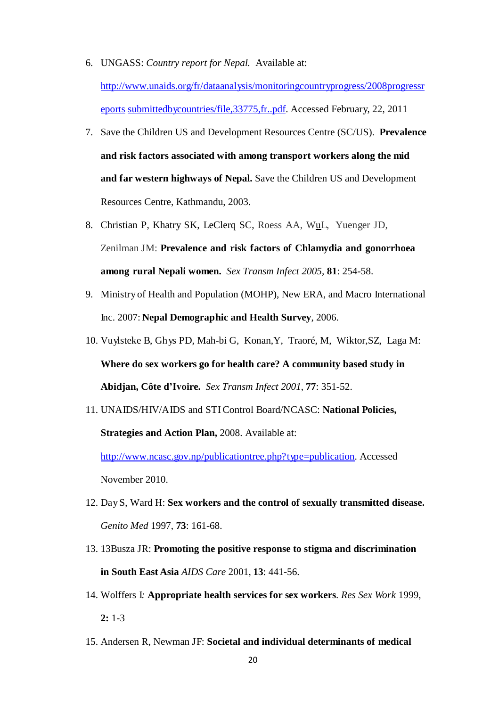- 6. UNGASS: *Country report for Nepal.* Available at: [http://www.unaids.org/fr/dataanalysis/monitoringcountryprogress/2008progressr](http://www.unaids.org/fr/dataanalysis/monitoringcountryprogress/2008progressreportssubmittedbycountries/file,33775,fr..pdf) [eports](http://www.unaids.org/fr/dataanalysis/monitoringcountryprogress/2008progressreportssubmittedbycountries/file,33775,fr..pdf) [submittedbycountries/file,33775,fr..pdf.](http://www.unaids.org/fr/dataanalysis/monitoringcountryprogress/2008progressreportssubmittedbycountries/file,33775,fr..pdf) Accessed February, 22, 2011
- 7. Save the Children US and Development Resources Centre (SC/US). **Prevalence and risk factors associated with among transport workers along the mid and far western highways of Nepal.** Save the Children US and Development Resources Centre, Kathmandu, 2003.
- 8. Christian P, Khatry SK, LeClerq SC, Roess AA, [WuL, Yue](file:///C:/Users/laxmi/Downloads/u)nger JD, Zenilman JM: **Prevalence and risk factors of Chlamydia and gonorrhoea among rural Nepali women.** *Sex Transm Infect 2005,* **81**: 254-58.
- 9. Ministry of Health and Population (MOHP), New ERA, and Macro International Inc. 2007: **Nepal Demographic and Health Survey**, 2006.
- 10. Vuylsteke B, Ghys PD, Mah-bi G, Konan,Y, Traoré, M, Wiktor,SZ, Laga M: **Where do sex workers go for health care? A community based study in Abidjan, Côte d'Ivoire.** *Sex Transm Infect 2001*, **77**: 351-52.
- 11. UNAIDS/HIV/AIDS and STIControl Board/NCASC: **National Policies, Strategies and Action Plan,** 2008. Available at:

[http://www.ncasc.gov.np/publicationtree.php?typ](http://www.ncasc.gov.np/publicationtree.php)e=publication. Accessed November 2010.

- 12. Day S, Ward H: **Sex workers and the control of sexually transmitted disease.** *Genito Med* 1997, **73**: 161-68.
- 13. 13Busza JR: **Promoting the positive response to stigma and discrimination in South East Asia** *AIDS Care* 2001, **13**: 441-56.
- 14. Wolffers I*:* **Appropriate health services for sex workers***. Res Sex Work* 1999, **2:** 1-3
- 15. Andersen R, Newman JF: **Societal and individual determinants of medical**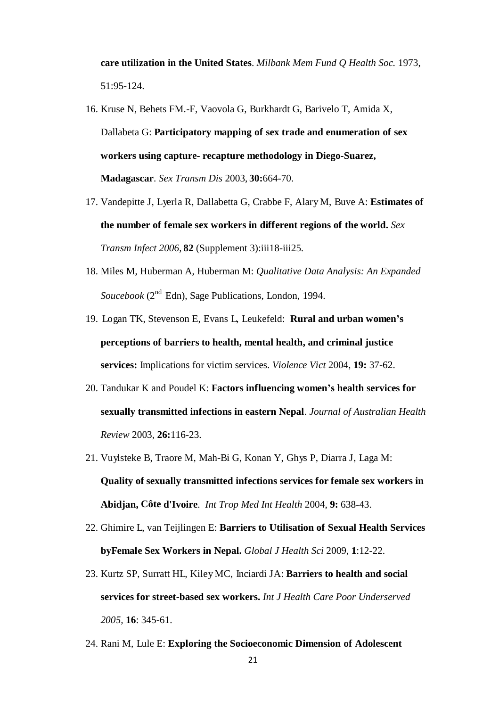**care utilization in the United States**. *Milbank Mem Fund Q Health Soc.* 1973, 51:95-124.

- 16. Kruse N, Behets FM.-F, Vaovola G, Burkhardt G, Barivelo T, Amida X, Dallabeta G: **Participatory mapping of sex trade and enumeration of sex workers using capture- recapture methodology in Diego-Suarez, Madagascar**. *Sex Transm Dis* 2003, **30:**664-70.
- 17. Vandepitte J, Lyerla R, Dallabetta G, Crabbe F, Alary M, Buve A: **Estimates of the number of female sex workers in different regions of the world.** *Sex Transm Infect 2006,* **82** (Supplement 3):iii18-iii25.
- 18. Miles M, Huberman A, Huberman M: *Qualitative Data Analysis: An Expanded* Soucebook (2<sup>nd</sup> Edn), Sage Publications, London, 1994.
- 19. Logan TK, Stevenson E, Evans L, Leukefeld: **Rural and urban women's perceptions of barriers to health, mental health, and criminal justice services:** Implications for victim services. *Violence Vict* 2004, **19:** 37-62.
- 20. Tandukar K and Poudel K: **Factors influencing women's health services for sexually transmitted infections in eastern Nepal**. *Journal of Australian Health Review* 2003, **26:**116-23.
- 21. Vuylsteke B, Traore M, Mah-Bi G, Konan Y, Ghys P, Diarra J, Laga M: **Quality of sexually transmitted infections services for female sex workers in Abidjan, Côte d'Ivoire**. *Int Trop Med Int Health* 2004, **9:** 638-43.
- 22. Ghimire L, van Teijlingen E: **Barriers to Utilisation of Sexual Health Services byFemale Sex Workers in Nepal.** *Global J Health Sci* 2009, **1**:12-22.
- 23. Kurtz SP, Surratt HL, Kiley MC, Inciardi JA: **Barriers to health and social services for street-based sex workers.** *Int J Health Care Poor Underserved 2005,* **16**: 345-61.
- 24. Rani M, Lule E: **Exploring the Socioeconomic Dimension of Adolescent**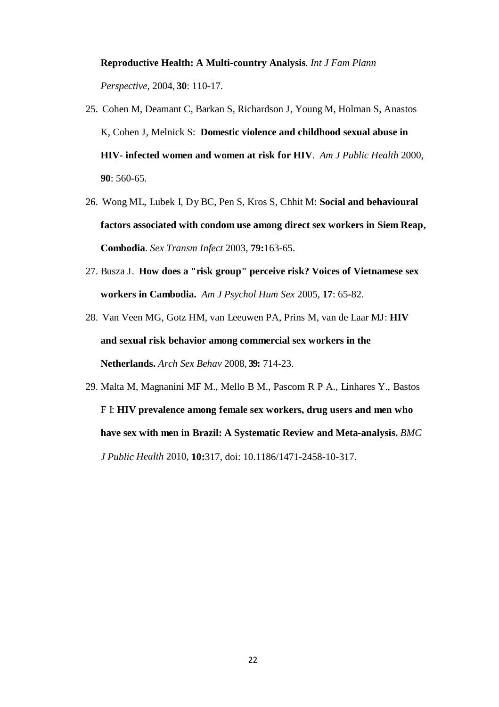### **Reproductive Health: A Multi-country Analysis**. *Int J Fam Plann*

*Perspective,* 2004, **30**: 110-17.

- 25. Cohen M, Deamant C, Barkan S, Richardson J, Young M, Holman S, Anastos K, Cohen J, Melnick S: **Domestic violence and childhood sexual abuse in HIV- infected women and women at risk for HIV**. *Am J Public Health* 2000, **90**: 560-65.
- 26. Wong ML, Lubek I, Dy BC, Pen S, Kros S, Chhit M: **Social and behavioural factors associated with condom use among direct sex workers in Siem Reap, Combodia**. *Sex Transm Infect* 2003, **79:**163-65.
- 27. Busza J. **How does a "risk group" perceive risk? Voices of Vietnamese sex workers in Cambodia.** *Am J Psychol Hum Sex* 2005*,* **17**: 65-82.
- 28. Van Veen MG, Gotz HM, van Leeuwen PA, Prins M, van de Laar MJ: **HIV and sexual risk behavior among commercial sex workers in the Netherlands.** *Arch Sex Behav* 2008, **39:** 714-23.
- 29. Malta M, Magnanini MF M., Mello B M., Pascom R P A., Linhares Y., Bastos F I: **HIV prevalence among female sex workers, drug users and men who have sex with men in Brazil: A Systematic Review and Meta-analysis.** *BMC J Public Health* 2010, **10:**317, doi: 10.1186/1471-2458-10-317.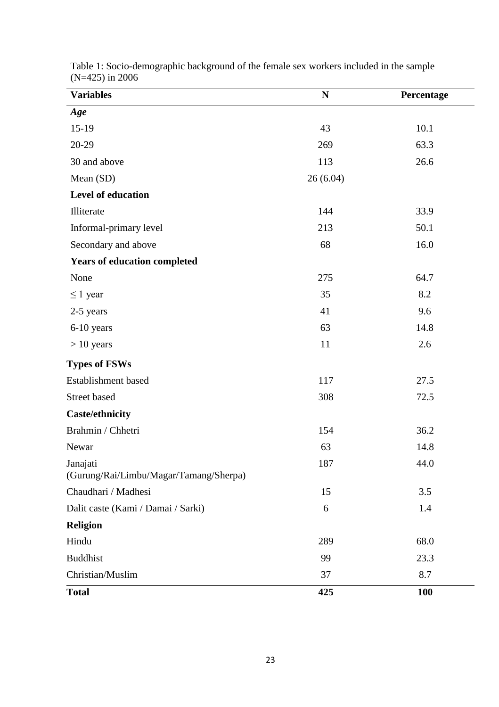| <b>Variables</b>                                   | $\mathbf N$ | Percentage |
|----------------------------------------------------|-------------|------------|
| Age                                                |             |            |
| $15-19$                                            | 43          | 10.1       |
| 20-29                                              | 269         | 63.3       |
| 30 and above                                       | 113         | 26.6       |
| Mean (SD)                                          | 26(6.04)    |            |
| Level of education                                 |             |            |
| Illiterate                                         | 144         | 33.9       |
| Informal-primary level                             | 213         | 50.1       |
| Secondary and above                                | 68          | 16.0       |
| <b>Years of education completed</b>                |             |            |
| None                                               | 275         | 64.7       |
| $\leq 1$ year                                      | 35          | 8.2        |
| 2-5 years                                          | 41          | 9.6        |
| 6-10 years                                         | 63          | 14.8       |
| $> 10$ years                                       | 11          | 2.6        |
| <b>Types of FSWs</b>                               |             |            |
| Establishment based                                | 117         | 27.5       |
| Street based                                       | 308         | 72.5       |
| <b>Caste/ethnicity</b>                             |             |            |
| Brahmin / Chhetri                                  | 154         | 36.2       |
| Newar                                              | 63          | 14.8       |
| Janajati<br>(Gurung/Rai/Limbu/Magar/Tamang/Sherpa) | 187         | 44.0       |
| Chaudhari / Madhesi                                | 15          | 3.5        |
| Dalit caste (Kami / Damai / Sarki)                 | 6           | 1.4        |
| <b>Religion</b>                                    |             |            |
| Hindu                                              | 289         | 68.0       |
| <b>Buddhist</b>                                    | 99          | 23.3       |
| Christian/Muslim                                   | 37          | 8.7        |
| <b>Total</b>                                       | 425         | <b>100</b> |

Table 1: Socio-demographic background of the female sex workers included in the sample (N=425) in 2006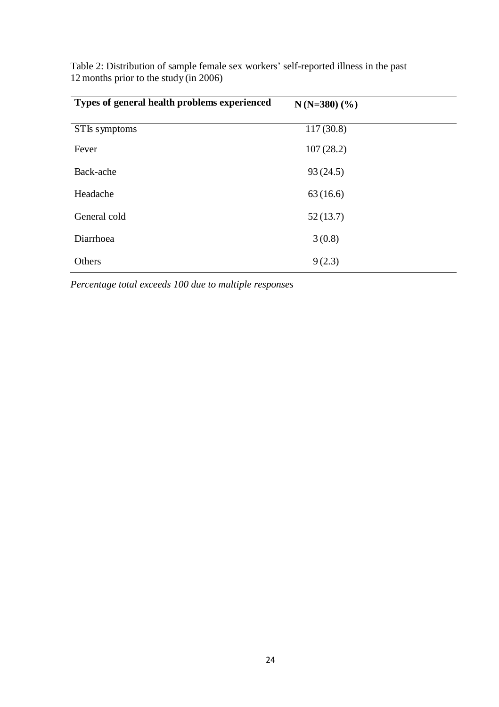| Types of general health problems experienced | $N(N=380)$ (%) |  |
|----------------------------------------------|----------------|--|
| STIs symptoms                                | 117(30.8)      |  |
| Fever                                        | 107(28.2)      |  |
| Back-ache                                    | 93(24.5)       |  |
| Headache                                     | 63(16.6)       |  |
| General cold                                 | 52(13.7)       |  |
| Diarrhoea                                    | 3(0.8)         |  |
| Others                                       | 9(2.3)         |  |

Table 2: Distribution of sample female sex workers' self-reported illness in the past 12 months prior to the study (in 2006)

*Percentage total exceeds 100 due to multiple responses*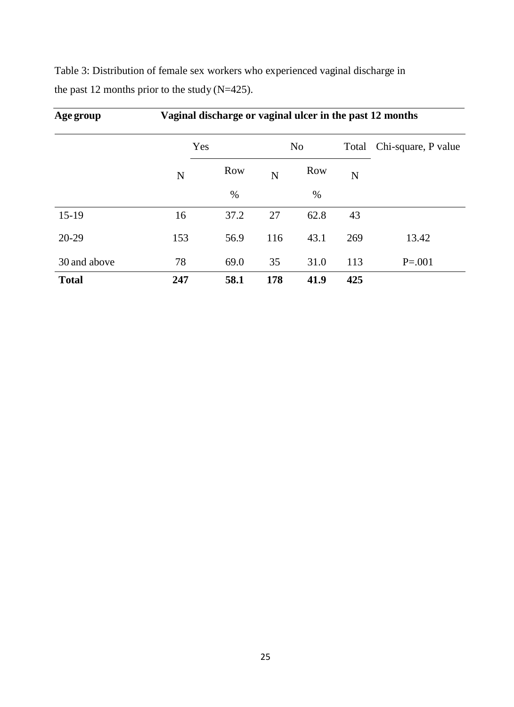| Age group    | Vaginal discharge or vaginal ulcer in the past 12 months |            |     |                |     |                              |
|--------------|----------------------------------------------------------|------------|-----|----------------|-----|------------------------------|
|              |                                                          | Yes        |     | N <sub>0</sub> |     | Chi-square, P value<br>Total |
|              | N                                                        | <b>Row</b> | N   | <b>Row</b>     | N   |                              |
|              |                                                          | $\%$       |     | $\%$           |     |                              |
| $15-19$      | 16                                                       | 37.2       | 27  | 62.8           | 43  |                              |
| $20-29$      | 153                                                      | 56.9       | 116 | 43.1           | 269 | 13.42                        |
| 30 and above | 78                                                       | 69.0       | 35  | 31.0           | 113 | $P = 0.001$                  |
| <b>Total</b> | 247                                                      | 58.1       | 178 | 41.9           | 425 |                              |

Table 3: Distribution of female sex workers who experienced vaginal discharge in the past 12 months prior to the study (N=425).